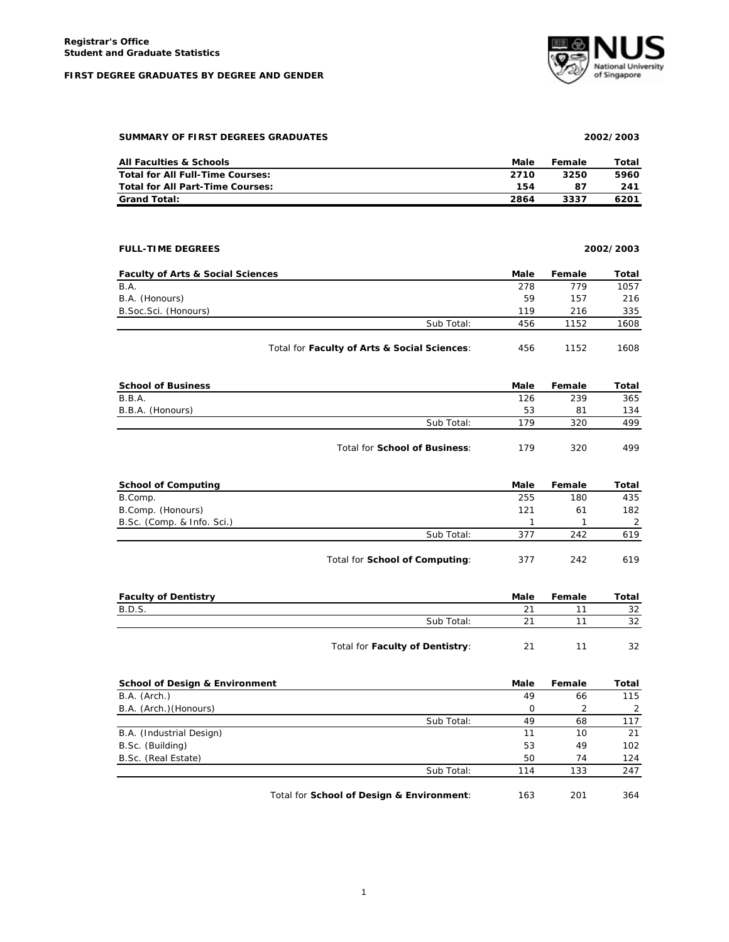#### **FIRST DEGREE GRADUATES BY DEGREE AND GENDER**



## **SUMMARY OF FIRST DEGREES GRADUATES 2002/2003**

| All Faculties & Schools          | Male | Female | Total |
|----------------------------------|------|--------|-------|
| Total for All Full-Time Courses: | 2710 | 3250   | 5960  |
| Total for All Part-Time Courses: | 154  | 87     | 241   |
| <b>Grand Total:</b>              | 2864 | 3337   | 6201  |

# **FULL-TIME DEGREES 2002/2003**

| <b>Faculty of Arts &amp; Social Sciences</b> |            | Male | Female | Total |
|----------------------------------------------|------------|------|--------|-------|
| B.A.                                         |            | 278  | 779    | 1057  |
| B.A. (Honours)                               |            | 59   | 157    | 216   |
| B.Soc.Sci. (Honours)                         |            | 119  | 216    | 335   |
|                                              | Sub Total: | 456  | 1152   | 1608  |
|                                              |            |      |        |       |

| <b>School of Business</b> |            | Male | Female | Total |
|---------------------------|------------|------|--------|-------|
| B.B.A.                    |            | 126  | 239    | 365   |
| B.B.A. (Honours)          |            | 53   | 81     | 134   |
|                           | Sub Total: | 179  | 320    | 499   |
|                           |            |      |        |       |

| Total for School of Business: | 179 | 320 | 499 |
|-------------------------------|-----|-----|-----|
|-------------------------------|-----|-----|-----|

Total for Faculty of Arts & Social Sciences: 456 1152 1608

| <b>School of Computing</b> |                                | Male | Female | Total |
|----------------------------|--------------------------------|------|--------|-------|
| B.Comp.                    |                                | 255  | 180    | 435   |
| B.Comp. (Honours)          |                                | 121  | 61     | 182   |
| B.Sc. (Comp. & Info. Sci.) |                                |      |        |       |
|                            | Sub Total:                     | 377  | 242    | 619   |
|                            | Total for School of Computing: | 377  | 242    | 619   |

| <b>Faculty of Dentistry</b> |                                 | Male | Female | Total |
|-----------------------------|---------------------------------|------|--------|-------|
| B.D.S.                      |                                 | 21   |        | 32    |
|                             | Sub Total:                      | າ1   |        | 32    |
|                             |                                 |      |        |       |
|                             | Total for Faculty of Dentistry: | 21   |        | 32    |

| School of Design & Environment |                                           | Male | Female | Total |
|--------------------------------|-------------------------------------------|------|--------|-------|
| B.A. (Arch.)                   |                                           | 49   | 66     | 115   |
| B.A. (Arch.) (Honours)         |                                           | 0    | 2      |       |
|                                | Sub Total:                                | 49   | 68     | 117   |
| B.A. (Industrial Design)       |                                           | 11   | 10     | 21    |
| B.Sc. (Building)               |                                           | 53   | 49     | 102   |
| B.Sc. (Real Estate)            |                                           | 50   | 74     | 124   |
|                                | Sub Total:                                | 114  | 133    | 247   |
|                                | Total for School of Design & Environment: | 163  | 201    | 364   |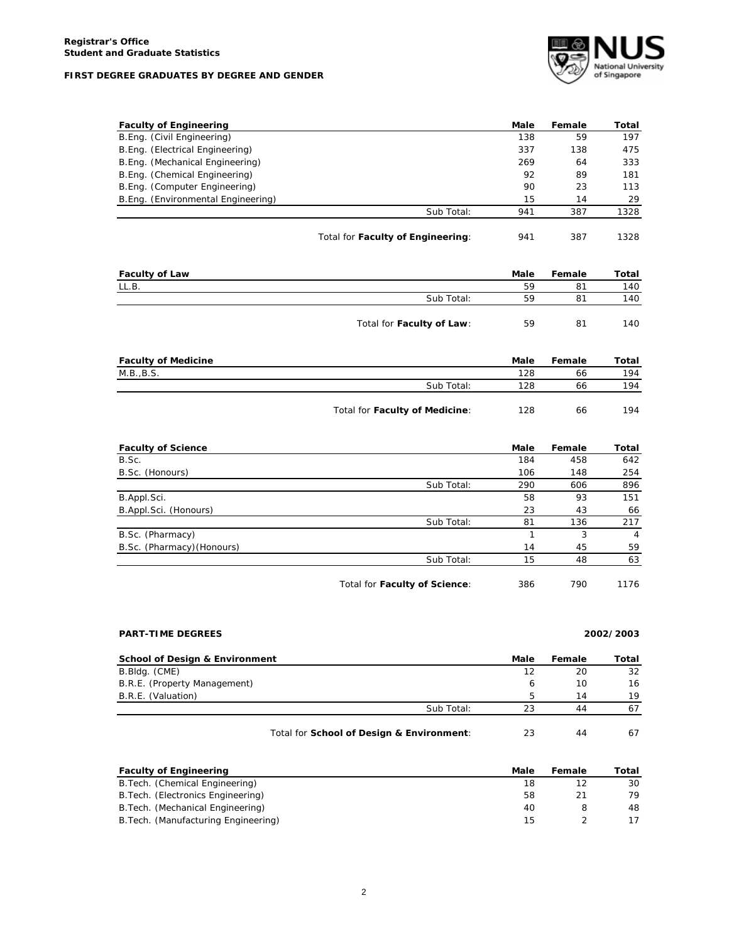## **FIRST DEGREE GRADUATES BY DEGREE AND GENDER**



| <b>Faculty of Engineering</b>      |                                   | Male | Female | Total |
|------------------------------------|-----------------------------------|------|--------|-------|
| B.Eng. (Civil Engineering)         |                                   | 138  | 59     | 197   |
| B.Eng. (Electrical Engineering)    |                                   | 337  | 138    | 475   |
| B.Eng. (Mechanical Engineering)    |                                   | 269  | 64     | 333   |
| B.Eng. (Chemical Engineering)      |                                   | 92   | 89     | 181   |
| B.Eng. (Computer Engineering)      |                                   | 90   | 23     | 113   |
| B.Eng. (Environmental Engineering) |                                   | 15   | 14     | 29    |
|                                    | Sub Total:                        | 941  | 387    | 1328  |
|                                    | Total for Faculty of Engineering: | 941  | 387    | 1328  |

| <b>Faculty of Law</b> |                           | Male | Female | Total |
|-----------------------|---------------------------|------|--------|-------|
| LL.B.                 |                           | 59   | 81     | 140   |
|                       | Sub Total:                | 59   | 81     | 140   |
|                       | Total for Faculty of Law: | 59   | 81     | 140   |

| <b>Faculty of Medicine</b> |                                | Male | Female | Total |
|----------------------------|--------------------------------|------|--------|-------|
| M.B., B.S.                 |                                | 128  | 66     | 194   |
|                            | Sub Total:                     | 128  | 66     | 194   |
|                            |                                |      |        |       |
|                            | Total for Faculty of Medicine: | 128  | 66     | 194   |

| <b>Faculty of Science</b>  |                               | Male | Female | Total |
|----------------------------|-------------------------------|------|--------|-------|
| B.Sc.                      |                               | 184  | 458    | 642   |
| B.Sc. (Honours)            |                               | 106  | 148    | 254   |
|                            | Sub Total:                    | 290  | 606    | 896   |
| B.Appl.Sci.                |                               | 58   | 93     | 151   |
| B.Appl.Sci. (Honours)      |                               | 23   | 43     | 66    |
|                            | Sub Total:                    | 81   | 136    | 217   |
| B.Sc. (Pharmacy)           |                               |      | 3      | 4     |
| B.Sc. (Pharmacy) (Honours) |                               | 14   | 45     | 59    |
|                            | Sub Total:                    | 15   | 48     | 63    |
|                            | Total for Faculty of Science: | 386  | 790    | 1176  |

## **PART-TIME DEGREES 2002/2003**

| School of Design & Environment | Male             | Female | Total |
|--------------------------------|------------------|--------|-------|
| B.Bldg. (CME)                  | 12               | 20     | 32    |
| B.R.E. (Property Management)   |                  | 10     | 16    |
| B.R.E. (Valuation)             |                  | 14     | 19    |
|                                | Sub Total:<br>23 | 44     |       |
|                                |                  |        |       |

| Total for School of Design & Environment: |  |  |  |
|-------------------------------------------|--|--|--|
|-------------------------------------------|--|--|--|

| <b>Faculty of Engineering</b>        | Male | Female | Total |
|--------------------------------------|------|--------|-------|
| B. Tech. (Chemical Engineering)      | 18   |        | 30    |
| B. Tech. (Electronics Engineering)   | 58   | 21     | 79    |
| B. Tech. (Mechanical Engineering)    | 40   |        | 48    |
| B. Tech. (Manufacturing Engineering) | 15   |        |       |